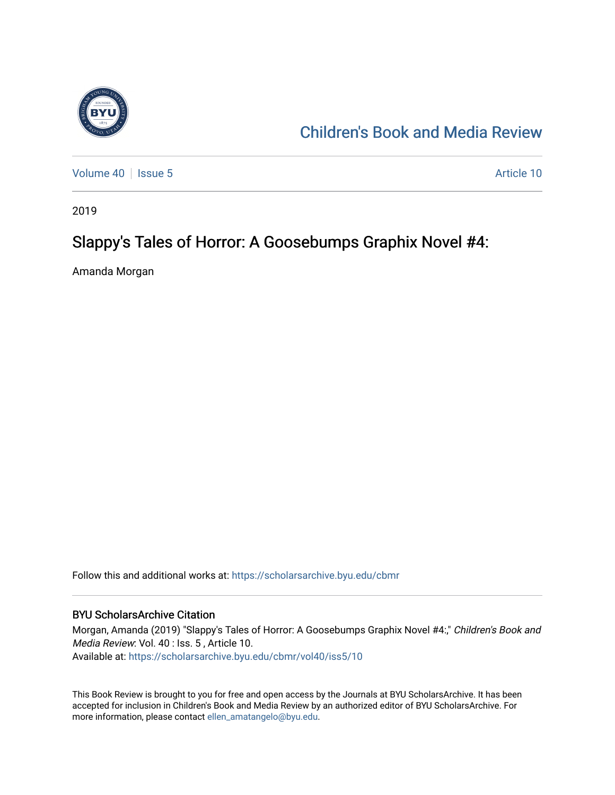

## [Children's Book and Media Review](https://scholarsarchive.byu.edu/cbmr)

[Volume 40](https://scholarsarchive.byu.edu/cbmr/vol40) | [Issue 5](https://scholarsarchive.byu.edu/cbmr/vol40/iss5) Article 10

2019

### Slappy's Tales of Horror: A Goosebumps Graphix Novel #4:

Amanda Morgan

Follow this and additional works at: [https://scholarsarchive.byu.edu/cbmr](https://scholarsarchive.byu.edu/cbmr?utm_source=scholarsarchive.byu.edu%2Fcbmr%2Fvol40%2Fiss5%2F10&utm_medium=PDF&utm_campaign=PDFCoverPages) 

#### BYU ScholarsArchive Citation

Morgan, Amanda (2019) "Slappy's Tales of Horror: A Goosebumps Graphix Novel #4:," Children's Book and Media Review: Vol. 40 : Iss. 5 , Article 10. Available at: [https://scholarsarchive.byu.edu/cbmr/vol40/iss5/10](https://scholarsarchive.byu.edu/cbmr/vol40/iss5/10?utm_source=scholarsarchive.byu.edu%2Fcbmr%2Fvol40%2Fiss5%2F10&utm_medium=PDF&utm_campaign=PDFCoverPages)

This Book Review is brought to you for free and open access by the Journals at BYU ScholarsArchive. It has been accepted for inclusion in Children's Book and Media Review by an authorized editor of BYU ScholarsArchive. For more information, please contact [ellen\\_amatangelo@byu.edu.](mailto:ellen_amatangelo@byu.edu)